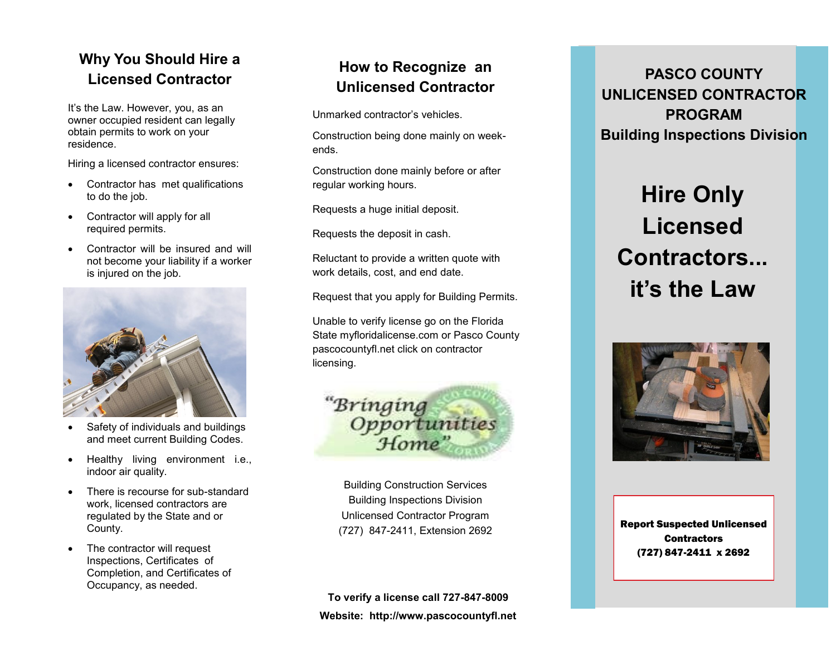# **Why You Should Hire a**

It's the Law. However, you, as an owner occupied resident can legally obtain permits to work on your residence.

Hiring a licensed contractor ensures:

- Contractor has met qualifications to do the job.
- Contractor will apply for all required permits.
- Contractor will be insured and will not become your liability if a worker is injured on the job.



- Safety of individuals and buildings and meet current Building Codes.
- Healthy living environment i.e., indoor air quality.
- There is recourse for sub-standard work, licensed contractors are regulated by the State and or County.
- The contractor will request Inspections, Certificates of Completion, and Certificates of Occupancy, as needed.

### **How to Recognize an Unlicensed Contractor**

Unmarked contractor's vehicles.

Construction being done mainly on weekends.

Construction done mainly before or after regular working hours.

Requests a huge initial deposit.

Requests the deposit in cash.

Reluctant to provide a written quote with work details, cost, and end date.

Request that you apply for Building Permits.

Unable to verify license go on the Florida State myfloridalicense.com or Pasco County pascocountyfl.net click on contractor licensing.



Building Construction Services Building Inspections Division Unlicensed Contractor Program (727) 847-2411, Extension 2692 Report Suspected Unlicensed

**To verify a license call 727-847-8009 Website: http://www.pascocountyfl.net**

**Licensed Contractor PASCO COUNTY UNLICENSED CONTRACTOR PROGRAM Building Inspections Division**

# **Hire Only Licensed Contractors... it's the Law**



**Contractors** (727) 847-2411 x 2692